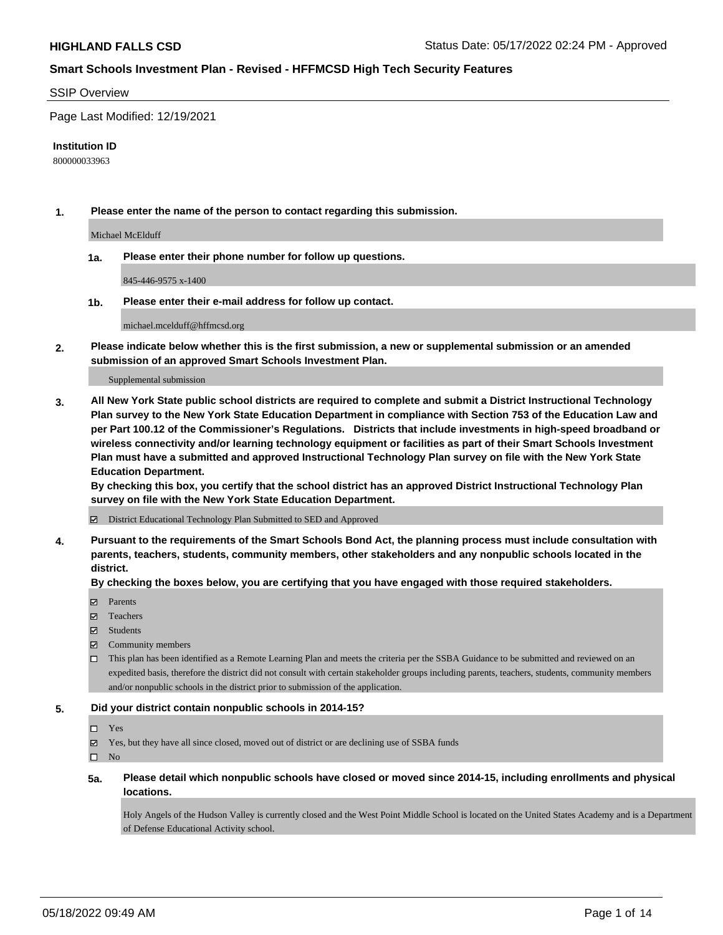#### SSIP Overview

Page Last Modified: 12/19/2021

#### **Institution ID**

800000033963

**1. Please enter the name of the person to contact regarding this submission.**

Michael McElduff

**1a. Please enter their phone number for follow up questions.**

845-446-9575 x-1400

**1b. Please enter their e-mail address for follow up contact.**

michael.mcelduff@hffmcsd.org

**2. Please indicate below whether this is the first submission, a new or supplemental submission or an amended submission of an approved Smart Schools Investment Plan.**

Supplemental submission

**3. All New York State public school districts are required to complete and submit a District Instructional Technology Plan survey to the New York State Education Department in compliance with Section 753 of the Education Law and per Part 100.12 of the Commissioner's Regulations. Districts that include investments in high-speed broadband or wireless connectivity and/or learning technology equipment or facilities as part of their Smart Schools Investment Plan must have a submitted and approved Instructional Technology Plan survey on file with the New York State Education Department.** 

**By checking this box, you certify that the school district has an approved District Instructional Technology Plan survey on file with the New York State Education Department.**

District Educational Technology Plan Submitted to SED and Approved

**4. Pursuant to the requirements of the Smart Schools Bond Act, the planning process must include consultation with parents, teachers, students, community members, other stakeholders and any nonpublic schools located in the district.** 

**By checking the boxes below, you are certifying that you have engaged with those required stakeholders.**

- $\blacksquare$  Parents
- Teachers
- Students
- $\Xi$  Community members
- This plan has been identified as a Remote Learning Plan and meets the criteria per the SSBA Guidance to be submitted and reviewed on an expedited basis, therefore the district did not consult with certain stakeholder groups including parents, teachers, students, community members and/or nonpublic schools in the district prior to submission of the application.

### **5. Did your district contain nonpublic schools in 2014-15?**

#### Yes

 $\boxtimes$  Yes, but they have all since closed, moved out of district or are declining use of SSBA funds

 $\square$  No

**5a. Please detail which nonpublic schools have closed or moved since 2014-15, including enrollments and physical locations.**

Holy Angels of the Hudson Valley is currently closed and the West Point Middle School is located on the United States Academy and is a Department of Defense Educational Activity school.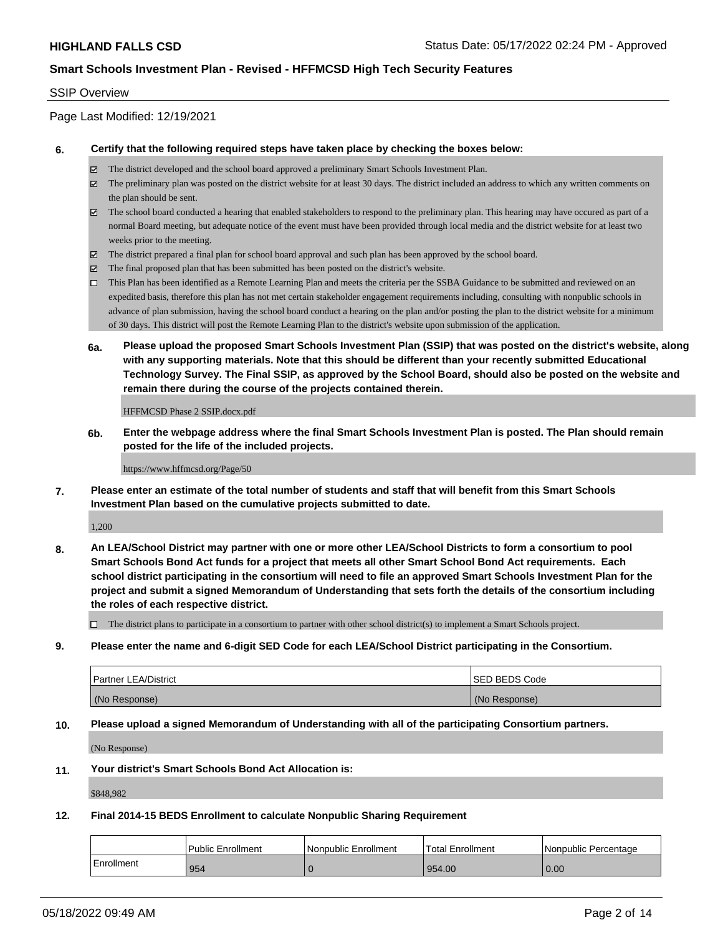#### SSIP Overview

## Page Last Modified: 12/19/2021

#### **6. Certify that the following required steps have taken place by checking the boxes below:**

- The district developed and the school board approved a preliminary Smart Schools Investment Plan.
- $\boxtimes$  The preliminary plan was posted on the district website for at least 30 days. The district included an address to which any written comments on the plan should be sent.
- $\boxtimes$  The school board conducted a hearing that enabled stakeholders to respond to the preliminary plan. This hearing may have occured as part of a normal Board meeting, but adequate notice of the event must have been provided through local media and the district website for at least two weeks prior to the meeting.
- The district prepared a final plan for school board approval and such plan has been approved by the school board.
- $\boxtimes$  The final proposed plan that has been submitted has been posted on the district's website.
- This Plan has been identified as a Remote Learning Plan and meets the criteria per the SSBA Guidance to be submitted and reviewed on an expedited basis, therefore this plan has not met certain stakeholder engagement requirements including, consulting with nonpublic schools in advance of plan submission, having the school board conduct a hearing on the plan and/or posting the plan to the district website for a minimum of 30 days. This district will post the Remote Learning Plan to the district's website upon submission of the application.
- **6a. Please upload the proposed Smart Schools Investment Plan (SSIP) that was posted on the district's website, along with any supporting materials. Note that this should be different than your recently submitted Educational Technology Survey. The Final SSIP, as approved by the School Board, should also be posted on the website and remain there during the course of the projects contained therein.**

HFFMCSD Phase 2 SSIP.docx.pdf

**6b. Enter the webpage address where the final Smart Schools Investment Plan is posted. The Plan should remain posted for the life of the included projects.**

#### https://www.hffmcsd.org/Page/50

**7. Please enter an estimate of the total number of students and staff that will benefit from this Smart Schools Investment Plan based on the cumulative projects submitted to date.**

1,200

**8. An LEA/School District may partner with one or more other LEA/School Districts to form a consortium to pool Smart Schools Bond Act funds for a project that meets all other Smart School Bond Act requirements. Each school district participating in the consortium will need to file an approved Smart Schools Investment Plan for the project and submit a signed Memorandum of Understanding that sets forth the details of the consortium including the roles of each respective district.**

 $\Box$  The district plans to participate in a consortium to partner with other school district(s) to implement a Smart Schools project.

**9. Please enter the name and 6-digit SED Code for each LEA/School District participating in the Consortium.**

| <b>Partner LEA/District</b> | <b>ISED BEDS Code</b> |
|-----------------------------|-----------------------|
| (No Response)               | (No Response)         |

#### **10. Please upload a signed Memorandum of Understanding with all of the participating Consortium partners.**

(No Response)

## **11. Your district's Smart Schools Bond Act Allocation is:**

\$848,982

## **12. Final 2014-15 BEDS Enrollment to calculate Nonpublic Sharing Requirement**

|            | <b>Public Enrollment</b> | Nonpublic Enrollment | <b>Total Enrollment</b> | Nonpublic Percentage |
|------------|--------------------------|----------------------|-------------------------|----------------------|
| Enrollment | 954                      |                      | 954.00                  | 0.00                 |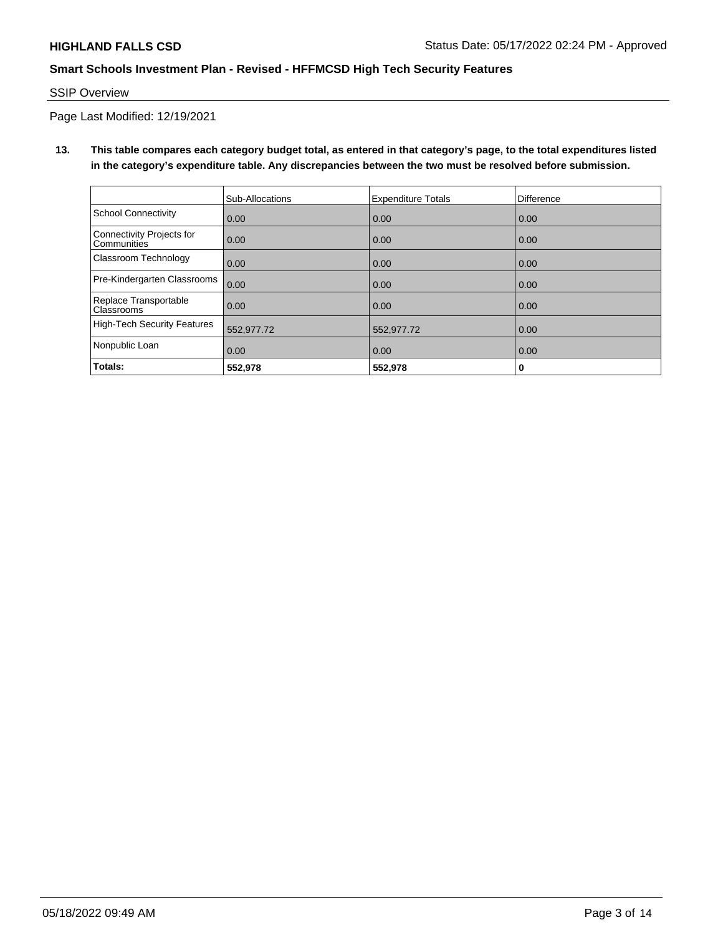## SSIP Overview

Page Last Modified: 12/19/2021

**13. This table compares each category budget total, as entered in that category's page, to the total expenditures listed in the category's expenditure table. Any discrepancies between the two must be resolved before submission.**

|                                            | Sub-Allocations | <b>Expenditure Totals</b> | <b>Difference</b> |
|--------------------------------------------|-----------------|---------------------------|-------------------|
| <b>School Connectivity</b>                 | 0.00            | 0.00                      | 0.00              |
| Connectivity Projects for<br>Communities   | 0.00            | 0.00                      | 0.00              |
| Classroom Technology                       | 0.00            | 0.00                      | 0.00              |
| Pre-Kindergarten Classrooms                | 0.00            | 0.00                      | 0.00              |
| Replace Transportable<br><b>Classrooms</b> | 0.00            | 0.00                      | 0.00              |
| High-Tech Security Features                | 552,977.72      | 552,977.72                | 0.00              |
| Nonpublic Loan                             | 0.00            | 0.00                      | 0.00              |
| Totals:                                    | 552,978         | 552,978                   | 0                 |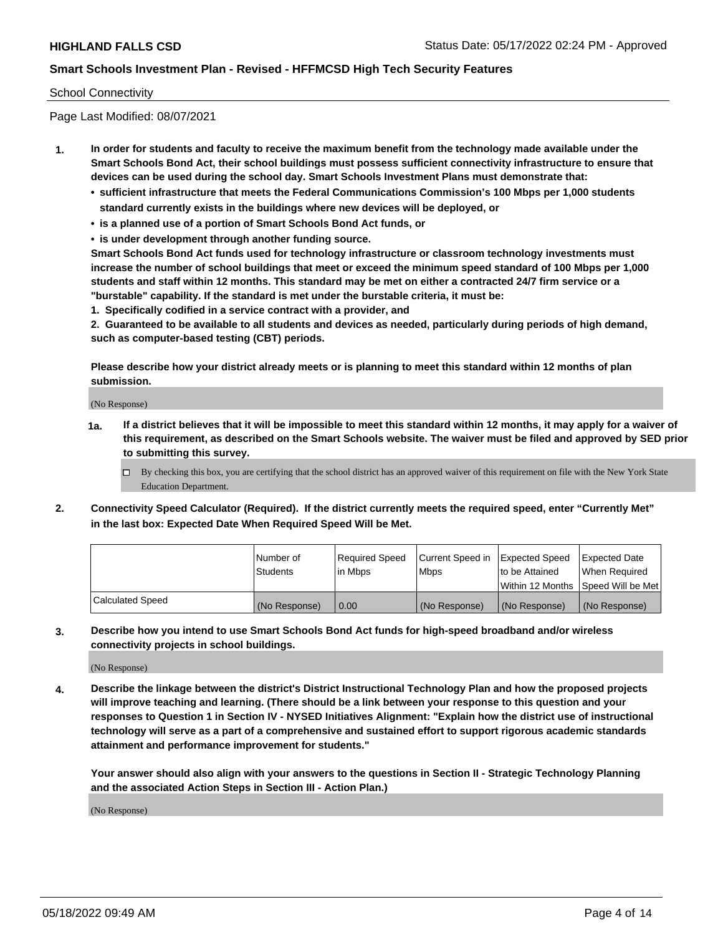### School Connectivity

Page Last Modified: 08/07/2021

- **1. In order for students and faculty to receive the maximum benefit from the technology made available under the Smart Schools Bond Act, their school buildings must possess sufficient connectivity infrastructure to ensure that devices can be used during the school day. Smart Schools Investment Plans must demonstrate that:**
	- **• sufficient infrastructure that meets the Federal Communications Commission's 100 Mbps per 1,000 students standard currently exists in the buildings where new devices will be deployed, or**
	- **• is a planned use of a portion of Smart Schools Bond Act funds, or**
	- **• is under development through another funding source.**

**Smart Schools Bond Act funds used for technology infrastructure or classroom technology investments must increase the number of school buildings that meet or exceed the minimum speed standard of 100 Mbps per 1,000 students and staff within 12 months. This standard may be met on either a contracted 24/7 firm service or a "burstable" capability. If the standard is met under the burstable criteria, it must be:**

**1. Specifically codified in a service contract with a provider, and**

**2. Guaranteed to be available to all students and devices as needed, particularly during periods of high demand, such as computer-based testing (CBT) periods.**

**Please describe how your district already meets or is planning to meet this standard within 12 months of plan submission.**

(No Response)

- **1a. If a district believes that it will be impossible to meet this standard within 12 months, it may apply for a waiver of this requirement, as described on the Smart Schools website. The waiver must be filed and approved by SED prior to submitting this survey.**
	- By checking this box, you are certifying that the school district has an approved waiver of this requirement on file with the New York State Education Department.
- **2. Connectivity Speed Calculator (Required). If the district currently meets the required speed, enter "Currently Met" in the last box: Expected Date When Required Speed Will be Met.**

|                  | l Number of     | Required Speed | Current Speed in Expected Speed |                                    | Expected Date |
|------------------|-----------------|----------------|---------------------------------|------------------------------------|---------------|
|                  | <b>Students</b> | l in Mbps      | <b>Mbps</b>                     | to be Attained                     | When Reauired |
|                  |                 |                |                                 | Within 12 Months Speed Will be Met |               |
| Calculated Speed | (No Response)   | 0.00           | (No Response)                   | (No Response)                      | (No Response) |

**3. Describe how you intend to use Smart Schools Bond Act funds for high-speed broadband and/or wireless connectivity projects in school buildings.**

(No Response)

**4. Describe the linkage between the district's District Instructional Technology Plan and how the proposed projects will improve teaching and learning. (There should be a link between your response to this question and your responses to Question 1 in Section IV - NYSED Initiatives Alignment: "Explain how the district use of instructional technology will serve as a part of a comprehensive and sustained effort to support rigorous academic standards attainment and performance improvement for students."** 

**Your answer should also align with your answers to the questions in Section II - Strategic Technology Planning and the associated Action Steps in Section III - Action Plan.)**

(No Response)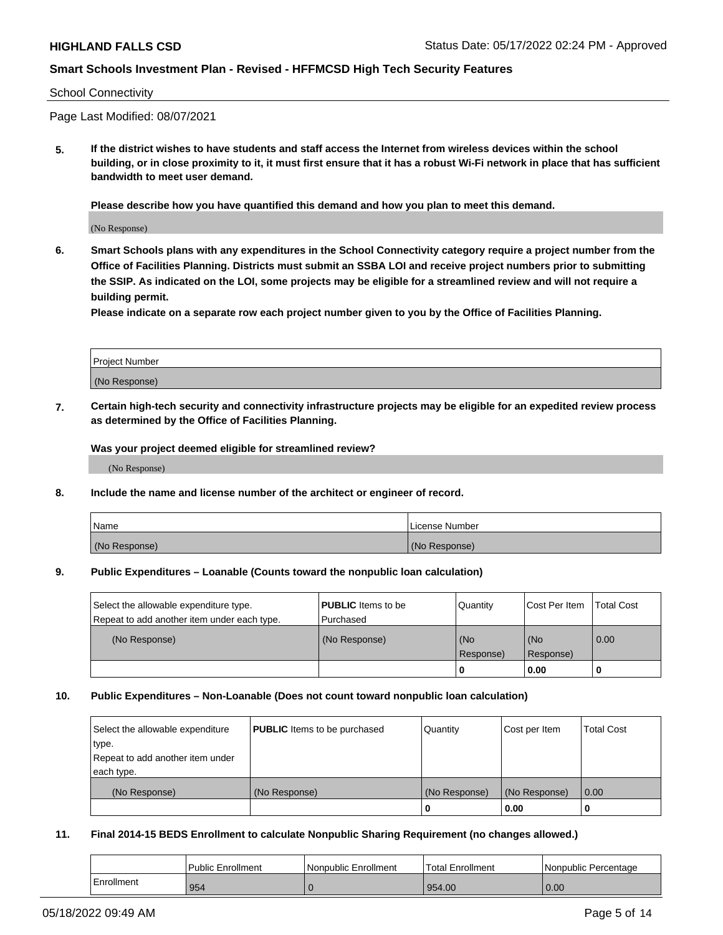#### School Connectivity

Page Last Modified: 08/07/2021

**5. If the district wishes to have students and staff access the Internet from wireless devices within the school building, or in close proximity to it, it must first ensure that it has a robust Wi-Fi network in place that has sufficient bandwidth to meet user demand.**

**Please describe how you have quantified this demand and how you plan to meet this demand.**

(No Response)

**6. Smart Schools plans with any expenditures in the School Connectivity category require a project number from the Office of Facilities Planning. Districts must submit an SSBA LOI and receive project numbers prior to submitting the SSIP. As indicated on the LOI, some projects may be eligible for a streamlined review and will not require a building permit.**

**Please indicate on a separate row each project number given to you by the Office of Facilities Planning.**

| <b>Project Number</b> |  |
|-----------------------|--|
| (No Response)         |  |

**7. Certain high-tech security and connectivity infrastructure projects may be eligible for an expedited review process as determined by the Office of Facilities Planning.**

**Was your project deemed eligible for streamlined review?**

(No Response)

#### **8. Include the name and license number of the architect or engineer of record.**

| Name          | I License Number |
|---------------|------------------|
| (No Response) | (No Response)    |

#### **9. Public Expenditures – Loanable (Counts toward the nonpublic loan calculation)**

| Select the allowable expenditure type.<br>Repeat to add another item under each type. | <b>PUBLIC</b> Items to be<br>l Purchased | Quantity         | Cost Per Item    | <b>Total Cost</b> |
|---------------------------------------------------------------------------------------|------------------------------------------|------------------|------------------|-------------------|
| (No Response)                                                                         | (No Response)                            | (No<br>Response) | (No<br>Response) | 0.00              |
|                                                                                       |                                          | 0                | 0.00             |                   |

### **10. Public Expenditures – Non-Loanable (Does not count toward nonpublic loan calculation)**

| Select the allowable expenditure | <b>PUBLIC</b> Items to be purchased | Quantity      | Cost per Item | <b>Total Cost</b> |
|----------------------------------|-------------------------------------|---------------|---------------|-------------------|
| type.                            |                                     |               |               |                   |
| Repeat to add another item under |                                     |               |               |                   |
| each type.                       |                                     |               |               |                   |
| (No Response)                    | (No Response)                       | (No Response) | (No Response) | 0.00              |
|                                  |                                     | U             | 0.00          |                   |

### **11. Final 2014-15 BEDS Enrollment to calculate Nonpublic Sharing Requirement (no changes allowed.)**

|            | <b>Public Enrollment</b> | Nonpublic Enrollment | Total Enrollment | Nonpublic Percentage |
|------------|--------------------------|----------------------|------------------|----------------------|
| Enrollment | 954                      |                      | 954.00           | 0.00                 |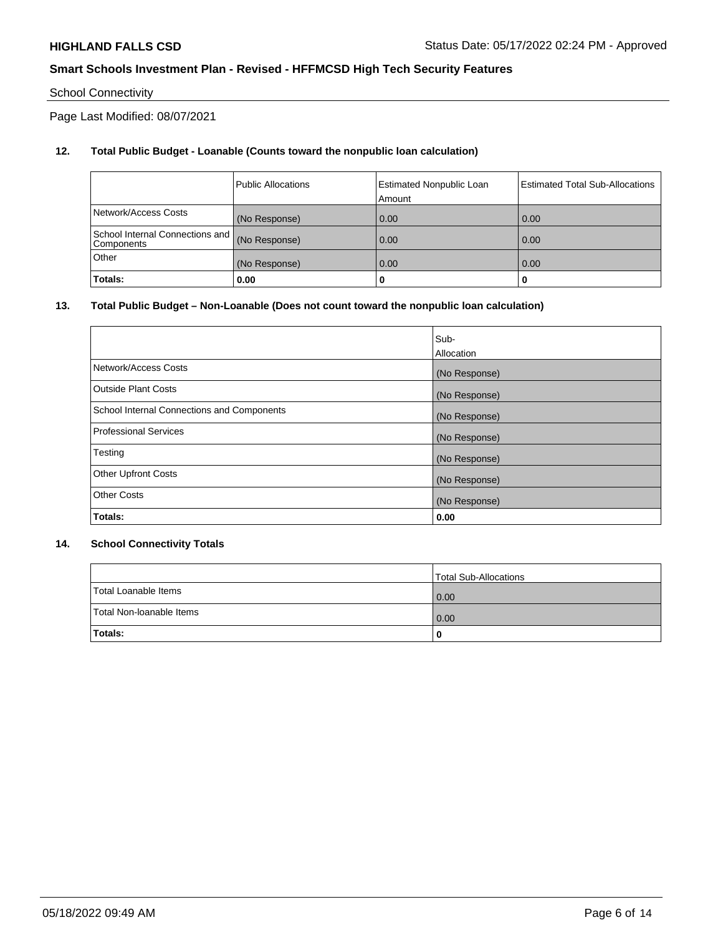## School Connectivity

Page Last Modified: 08/07/2021

## **12. Total Public Budget - Loanable (Counts toward the nonpublic loan calculation)**

|                                               | <b>Public Allocations</b> | <b>Estimated Nonpublic Loan</b><br>Amount | Estimated Total Sub-Allocations |
|-----------------------------------------------|---------------------------|-------------------------------------------|---------------------------------|
| Network/Access Costs                          | (No Response)             | 0.00                                      | 0.00                            |
| School Internal Connections and<br>Components | (No Response)             | 0.00                                      | 0.00                            |
| Other                                         | (No Response)             | 0.00                                      | 0.00                            |
| Totals:                                       | 0.00                      |                                           | 0                               |

### **13. Total Public Budget – Non-Loanable (Does not count toward the nonpublic loan calculation)**

|                                            | Sub-          |
|--------------------------------------------|---------------|
|                                            | Allocation    |
| Network/Access Costs                       | (No Response) |
| <b>Outside Plant Costs</b>                 | (No Response) |
| School Internal Connections and Components | (No Response) |
| <b>Professional Services</b>               | (No Response) |
| Testing                                    | (No Response) |
| <b>Other Upfront Costs</b>                 | (No Response) |
| <b>Other Costs</b>                         | (No Response) |
| Totals:                                    | 0.00          |

### **14. School Connectivity Totals**

|                          | Total Sub-Allocations |
|--------------------------|-----------------------|
| Total Loanable Items     | 0.00                  |
| Total Non-Ioanable Items | 0.00                  |
| Totals:                  | 0                     |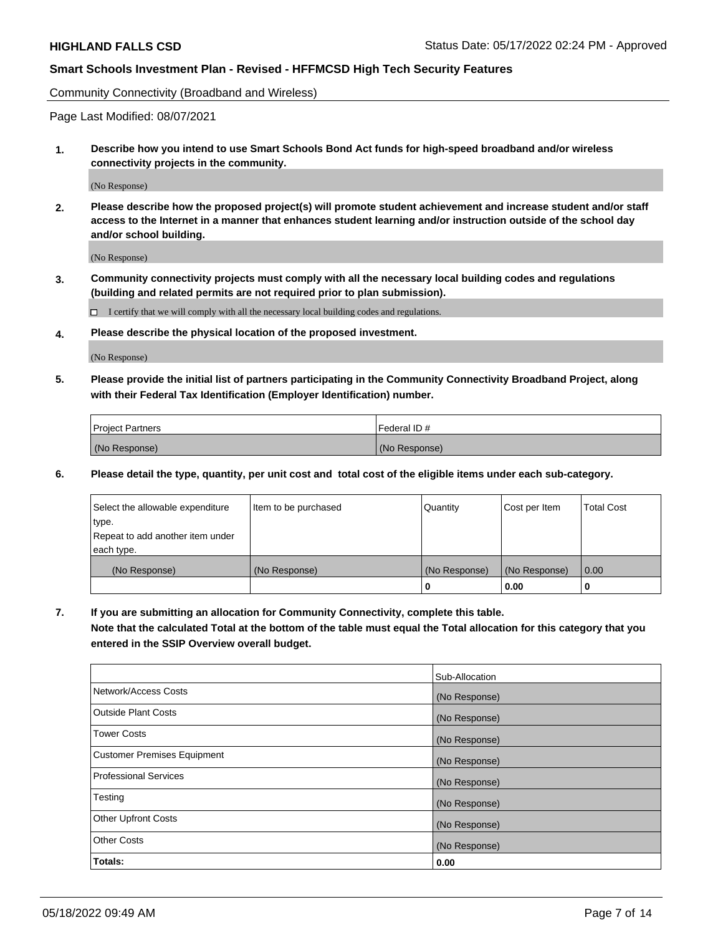Community Connectivity (Broadband and Wireless)

Page Last Modified: 08/07/2021

**1. Describe how you intend to use Smart Schools Bond Act funds for high-speed broadband and/or wireless connectivity projects in the community.**

(No Response)

**2. Please describe how the proposed project(s) will promote student achievement and increase student and/or staff access to the Internet in a manner that enhances student learning and/or instruction outside of the school day and/or school building.**

(No Response)

**3. Community connectivity projects must comply with all the necessary local building codes and regulations (building and related permits are not required prior to plan submission).**

 $\Box$  I certify that we will comply with all the necessary local building codes and regulations.

**4. Please describe the physical location of the proposed investment.**

(No Response)

**5. Please provide the initial list of partners participating in the Community Connectivity Broadband Project, along with their Federal Tax Identification (Employer Identification) number.**

| <b>Project Partners</b> | 'Federal ID # |
|-------------------------|---------------|
| (No Response)           | (No Response) |

**6. Please detail the type, quantity, per unit cost and total cost of the eligible items under each sub-category.**

| Select the allowable expenditure | Item to be purchased | Quantity      | Cost per Item | <b>Total Cost</b> |
|----------------------------------|----------------------|---------------|---------------|-------------------|
| type.                            |                      |               |               |                   |
| Repeat to add another item under |                      |               |               |                   |
| each type.                       |                      |               |               |                   |
| (No Response)                    | (No Response)        | (No Response) | (No Response) | 0.00              |
|                                  |                      | 0             | 0.00          |                   |

**7. If you are submitting an allocation for Community Connectivity, complete this table.**

**Note that the calculated Total at the bottom of the table must equal the Total allocation for this category that you entered in the SSIP Overview overall budget.**

|                                    | Sub-Allocation |
|------------------------------------|----------------|
| Network/Access Costs               | (No Response)  |
| <b>Outside Plant Costs</b>         | (No Response)  |
| <b>Tower Costs</b>                 | (No Response)  |
| <b>Customer Premises Equipment</b> | (No Response)  |
| Professional Services              | (No Response)  |
| Testing                            | (No Response)  |
| <b>Other Upfront Costs</b>         | (No Response)  |
| <b>Other Costs</b>                 | (No Response)  |
| Totals:                            | 0.00           |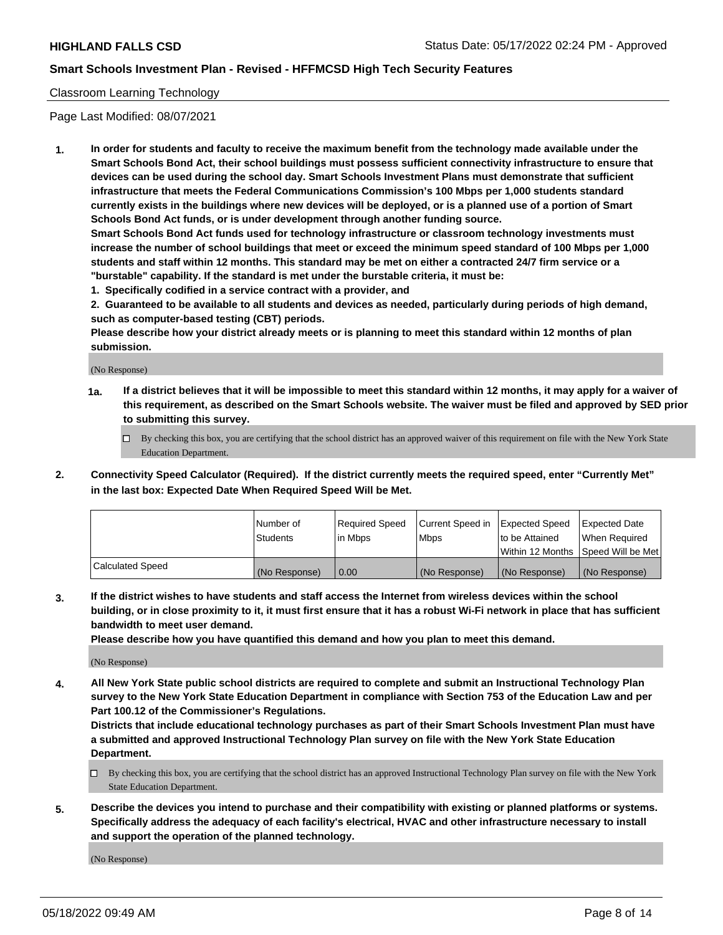### Classroom Learning Technology

Page Last Modified: 08/07/2021

**1. In order for students and faculty to receive the maximum benefit from the technology made available under the Smart Schools Bond Act, their school buildings must possess sufficient connectivity infrastructure to ensure that devices can be used during the school day. Smart Schools Investment Plans must demonstrate that sufficient infrastructure that meets the Federal Communications Commission's 100 Mbps per 1,000 students standard currently exists in the buildings where new devices will be deployed, or is a planned use of a portion of Smart Schools Bond Act funds, or is under development through another funding source.**

**Smart Schools Bond Act funds used for technology infrastructure or classroom technology investments must increase the number of school buildings that meet or exceed the minimum speed standard of 100 Mbps per 1,000 students and staff within 12 months. This standard may be met on either a contracted 24/7 firm service or a "burstable" capability. If the standard is met under the burstable criteria, it must be:**

**1. Specifically codified in a service contract with a provider, and**

**2. Guaranteed to be available to all students and devices as needed, particularly during periods of high demand, such as computer-based testing (CBT) periods.**

**Please describe how your district already meets or is planning to meet this standard within 12 months of plan submission.**

(No Response)

- **1a. If a district believes that it will be impossible to meet this standard within 12 months, it may apply for a waiver of this requirement, as described on the Smart Schools website. The waiver must be filed and approved by SED prior to submitting this survey.**
	- By checking this box, you are certifying that the school district has an approved waiver of this requirement on file with the New York State Education Department.
- **2. Connectivity Speed Calculator (Required). If the district currently meets the required speed, enter "Currently Met" in the last box: Expected Date When Required Speed Will be Met.**

|                  | Number of     | Required Speed | Current Speed in | Expected Speed | Expected Date                           |
|------------------|---------------|----------------|------------------|----------------|-----------------------------------------|
|                  | Students      | lin Mbps       | <b>Mbps</b>      | to be Attained | When Required                           |
|                  |               |                |                  |                | l Within 12 Months ISpeed Will be Met l |
| Calculated Speed | (No Response) | 0.00           | (No Response)    | (No Response)  | (No Response)                           |

**3. If the district wishes to have students and staff access the Internet from wireless devices within the school building, or in close proximity to it, it must first ensure that it has a robust Wi-Fi network in place that has sufficient bandwidth to meet user demand.**

**Please describe how you have quantified this demand and how you plan to meet this demand.**

(No Response)

**4. All New York State public school districts are required to complete and submit an Instructional Technology Plan survey to the New York State Education Department in compliance with Section 753 of the Education Law and per Part 100.12 of the Commissioner's Regulations.**

**Districts that include educational technology purchases as part of their Smart Schools Investment Plan must have a submitted and approved Instructional Technology Plan survey on file with the New York State Education Department.**

- By checking this box, you are certifying that the school district has an approved Instructional Technology Plan survey on file with the New York State Education Department.
- **5. Describe the devices you intend to purchase and their compatibility with existing or planned platforms or systems. Specifically address the adequacy of each facility's electrical, HVAC and other infrastructure necessary to install and support the operation of the planned technology.**

(No Response)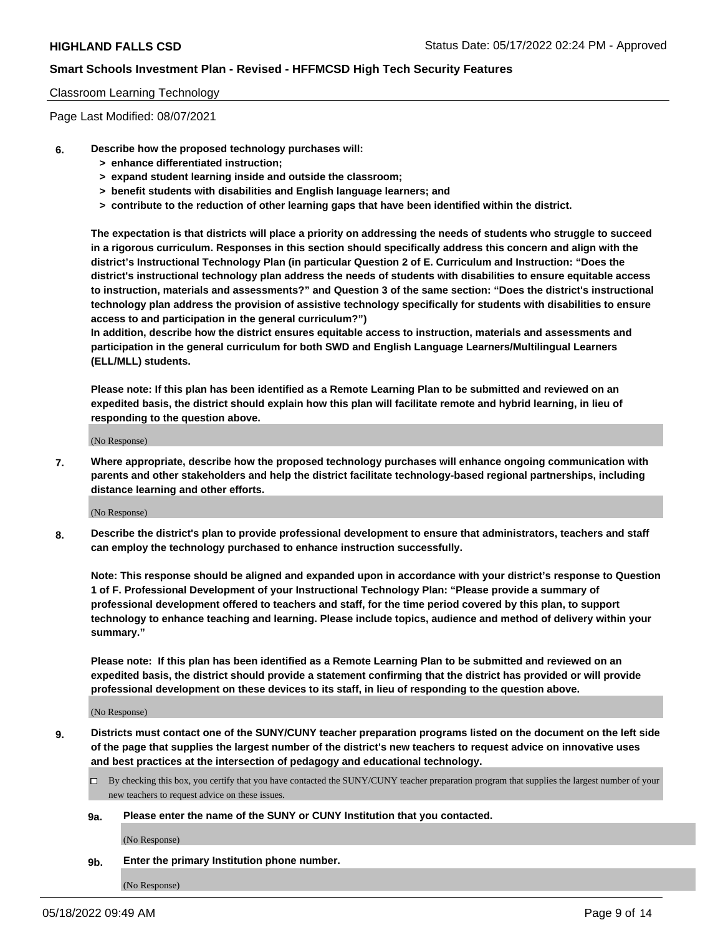### Classroom Learning Technology

Page Last Modified: 08/07/2021

- **6. Describe how the proposed technology purchases will:**
	- **> enhance differentiated instruction;**
	- **> expand student learning inside and outside the classroom;**
	- **> benefit students with disabilities and English language learners; and**
	- **> contribute to the reduction of other learning gaps that have been identified within the district.**

**The expectation is that districts will place a priority on addressing the needs of students who struggle to succeed in a rigorous curriculum. Responses in this section should specifically address this concern and align with the district's Instructional Technology Plan (in particular Question 2 of E. Curriculum and Instruction: "Does the district's instructional technology plan address the needs of students with disabilities to ensure equitable access to instruction, materials and assessments?" and Question 3 of the same section: "Does the district's instructional technology plan address the provision of assistive technology specifically for students with disabilities to ensure access to and participation in the general curriculum?")**

**In addition, describe how the district ensures equitable access to instruction, materials and assessments and participation in the general curriculum for both SWD and English Language Learners/Multilingual Learners (ELL/MLL) students.**

**Please note: If this plan has been identified as a Remote Learning Plan to be submitted and reviewed on an expedited basis, the district should explain how this plan will facilitate remote and hybrid learning, in lieu of responding to the question above.**

(No Response)

**7. Where appropriate, describe how the proposed technology purchases will enhance ongoing communication with parents and other stakeholders and help the district facilitate technology-based regional partnerships, including distance learning and other efforts.**

(No Response)

**8. Describe the district's plan to provide professional development to ensure that administrators, teachers and staff can employ the technology purchased to enhance instruction successfully.**

**Note: This response should be aligned and expanded upon in accordance with your district's response to Question 1 of F. Professional Development of your Instructional Technology Plan: "Please provide a summary of professional development offered to teachers and staff, for the time period covered by this plan, to support technology to enhance teaching and learning. Please include topics, audience and method of delivery within your summary."**

**Please note: If this plan has been identified as a Remote Learning Plan to be submitted and reviewed on an expedited basis, the district should provide a statement confirming that the district has provided or will provide professional development on these devices to its staff, in lieu of responding to the question above.**

(No Response)

**9. Districts must contact one of the SUNY/CUNY teacher preparation programs listed on the document on the left side of the page that supplies the largest number of the district's new teachers to request advice on innovative uses and best practices at the intersection of pedagogy and educational technology.**

- By checking this box, you certify that you have contacted the SUNY/CUNY teacher preparation program that supplies the largest number of your new teachers to request advice on these issues.
- **9a. Please enter the name of the SUNY or CUNY Institution that you contacted.**

(No Response)

**9b. Enter the primary Institution phone number.**

(No Response)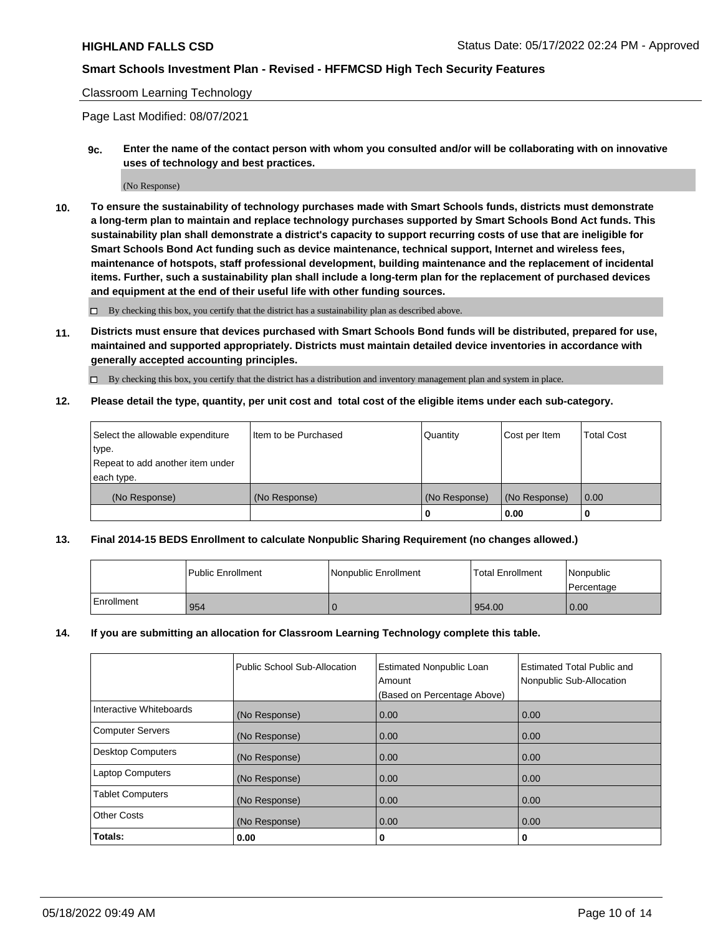#### Classroom Learning Technology

Page Last Modified: 08/07/2021

**9c. Enter the name of the contact person with whom you consulted and/or will be collaborating with on innovative uses of technology and best practices.**

(No Response)

**10. To ensure the sustainability of technology purchases made with Smart Schools funds, districts must demonstrate a long-term plan to maintain and replace technology purchases supported by Smart Schools Bond Act funds. This sustainability plan shall demonstrate a district's capacity to support recurring costs of use that are ineligible for Smart Schools Bond Act funding such as device maintenance, technical support, Internet and wireless fees, maintenance of hotspots, staff professional development, building maintenance and the replacement of incidental items. Further, such a sustainability plan shall include a long-term plan for the replacement of purchased devices and equipment at the end of their useful life with other funding sources.**

 $\square$  By checking this box, you certify that the district has a sustainability plan as described above.

**11. Districts must ensure that devices purchased with Smart Schools Bond funds will be distributed, prepared for use, maintained and supported appropriately. Districts must maintain detailed device inventories in accordance with generally accepted accounting principles.**

By checking this box, you certify that the district has a distribution and inventory management plan and system in place.

**12. Please detail the type, quantity, per unit cost and total cost of the eligible items under each sub-category.**

| Select the allowable expenditure | I Item to be Purchased | Quantity      | Cost per Item | Total Cost |
|----------------------------------|------------------------|---------------|---------------|------------|
| type.                            |                        |               |               |            |
| Repeat to add another item under |                        |               |               |            |
| each type.                       |                        |               |               |            |
| (No Response)                    | (No Response)          | (No Response) | (No Response) | 0.00       |
|                                  |                        | u             | 0.00          |            |

### **13. Final 2014-15 BEDS Enrollment to calculate Nonpublic Sharing Requirement (no changes allowed.)**

|            | l Public Enrollment | Nonpublic Enrollment | <b>Total Enrollment</b> | Nonpublic<br>l Percentage |
|------------|---------------------|----------------------|-------------------------|---------------------------|
| Enrollment | 954                 |                      | 954.00                  | 0.00                      |

### **14. If you are submitting an allocation for Classroom Learning Technology complete this table.**

|                          | Public School Sub-Allocation | <b>Estimated Nonpublic Loan</b><br>Amount | <b>Estimated Total Public and</b><br>Nonpublic Sub-Allocation |
|--------------------------|------------------------------|-------------------------------------------|---------------------------------------------------------------|
|                          |                              | (Based on Percentage Above)               |                                                               |
| Interactive Whiteboards  | (No Response)                | 0.00                                      | 0.00                                                          |
| <b>Computer Servers</b>  | (No Response)                | 0.00                                      | 0.00                                                          |
| <b>Desktop Computers</b> | (No Response)                | 0.00                                      | 0.00                                                          |
| <b>Laptop Computers</b>  | (No Response)                | 0.00                                      | 0.00                                                          |
| <b>Tablet Computers</b>  | (No Response)                | 0.00                                      | 0.00                                                          |
| <b>Other Costs</b>       | (No Response)                | 0.00                                      | 0.00                                                          |
| Totals:                  | 0.00                         | 0                                         | 0                                                             |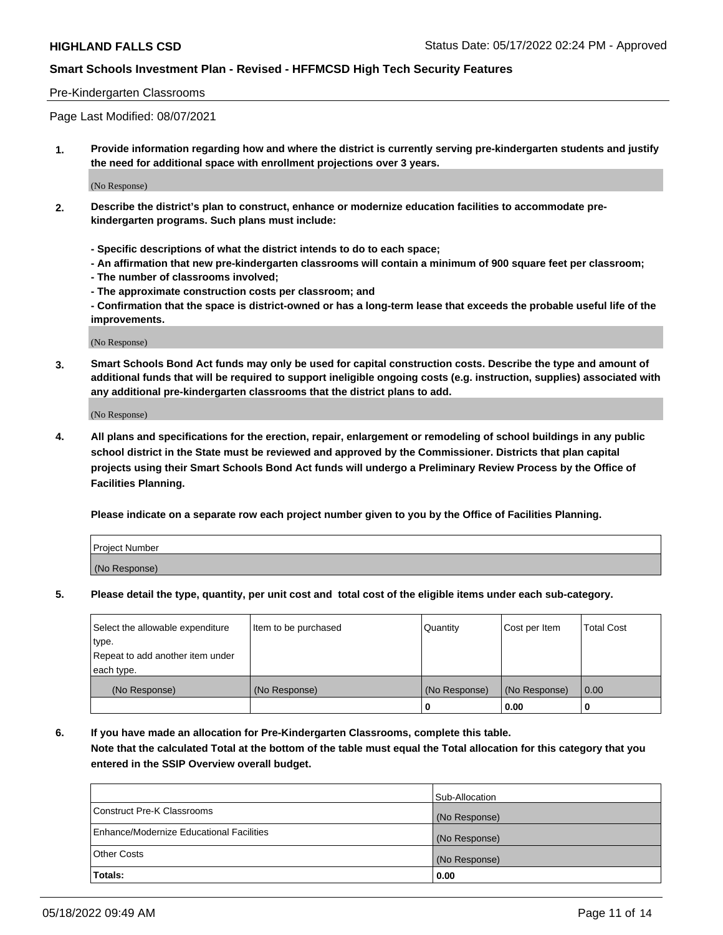### Pre-Kindergarten Classrooms

Page Last Modified: 08/07/2021

**1. Provide information regarding how and where the district is currently serving pre-kindergarten students and justify the need for additional space with enrollment projections over 3 years.**

(No Response)

- **2. Describe the district's plan to construct, enhance or modernize education facilities to accommodate prekindergarten programs. Such plans must include:**
	- **Specific descriptions of what the district intends to do to each space;**
	- **An affirmation that new pre-kindergarten classrooms will contain a minimum of 900 square feet per classroom;**
	- **The number of classrooms involved;**
	- **The approximate construction costs per classroom; and**
	- **Confirmation that the space is district-owned or has a long-term lease that exceeds the probable useful life of the improvements.**

(No Response)

**3. Smart Schools Bond Act funds may only be used for capital construction costs. Describe the type and amount of additional funds that will be required to support ineligible ongoing costs (e.g. instruction, supplies) associated with any additional pre-kindergarten classrooms that the district plans to add.**

(No Response)

**4. All plans and specifications for the erection, repair, enlargement or remodeling of school buildings in any public school district in the State must be reviewed and approved by the Commissioner. Districts that plan capital projects using their Smart Schools Bond Act funds will undergo a Preliminary Review Process by the Office of Facilities Planning.**

**Please indicate on a separate row each project number given to you by the Office of Facilities Planning.**

| Project Number |  |
|----------------|--|
| (No Response)  |  |

**5. Please detail the type, quantity, per unit cost and total cost of the eligible items under each sub-category.**

| Select the allowable expenditure | Item to be purchased | Quantity      | Cost per Item | <b>Total Cost</b> |
|----------------------------------|----------------------|---------------|---------------|-------------------|
| type.                            |                      |               |               |                   |
| Repeat to add another item under |                      |               |               |                   |
| each type.                       |                      |               |               |                   |
| (No Response)                    | (No Response)        | (No Response) | (No Response) | 0.00              |
|                                  |                      | 0             | 0.00          |                   |

**6. If you have made an allocation for Pre-Kindergarten Classrooms, complete this table.**

**Note that the calculated Total at the bottom of the table must equal the Total allocation for this category that you entered in the SSIP Overview overall budget.**

|                                          | Sub-Allocation |
|------------------------------------------|----------------|
| Construct Pre-K Classrooms               | (No Response)  |
| Enhance/Modernize Educational Facilities | (No Response)  |
| <b>Other Costs</b>                       | (No Response)  |
| Totals:                                  | 0.00           |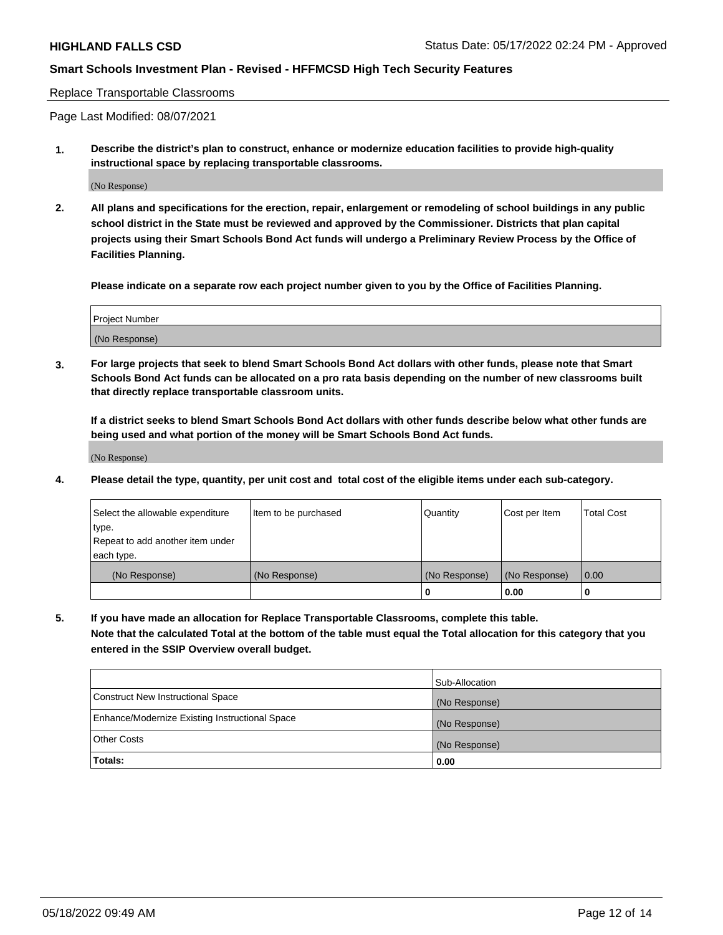Replace Transportable Classrooms

Page Last Modified: 08/07/2021

**1. Describe the district's plan to construct, enhance or modernize education facilities to provide high-quality instructional space by replacing transportable classrooms.**

(No Response)

**2. All plans and specifications for the erection, repair, enlargement or remodeling of school buildings in any public school district in the State must be reviewed and approved by the Commissioner. Districts that plan capital projects using their Smart Schools Bond Act funds will undergo a Preliminary Review Process by the Office of Facilities Planning.**

**Please indicate on a separate row each project number given to you by the Office of Facilities Planning.**

| <b>Project Number</b> |  |
|-----------------------|--|
| (No Response)         |  |

**3. For large projects that seek to blend Smart Schools Bond Act dollars with other funds, please note that Smart Schools Bond Act funds can be allocated on a pro rata basis depending on the number of new classrooms built that directly replace transportable classroom units.**

**If a district seeks to blend Smart Schools Bond Act dollars with other funds describe below what other funds are being used and what portion of the money will be Smart Schools Bond Act funds.**

(No Response)

**4. Please detail the type, quantity, per unit cost and total cost of the eligible items under each sub-category.**

| Select the allowable expenditure | Item to be purchased | Quantity      | Cost per Item | <b>Total Cost</b> |
|----------------------------------|----------------------|---------------|---------------|-------------------|
| type.                            |                      |               |               |                   |
| Repeat to add another item under |                      |               |               |                   |
| each type.                       |                      |               |               |                   |
| (No Response)                    | (No Response)        | (No Response) | (No Response) | 0.00              |
|                                  |                      | U             | 0.00          |                   |

**5. If you have made an allocation for Replace Transportable Classrooms, complete this table.**

**Note that the calculated Total at the bottom of the table must equal the Total allocation for this category that you entered in the SSIP Overview overall budget.**

|                                                | Sub-Allocation |
|------------------------------------------------|----------------|
| Construct New Instructional Space              | (No Response)  |
| Enhance/Modernize Existing Instructional Space | (No Response)  |
| <b>Other Costs</b>                             | (No Response)  |
| Totals:                                        | 0.00           |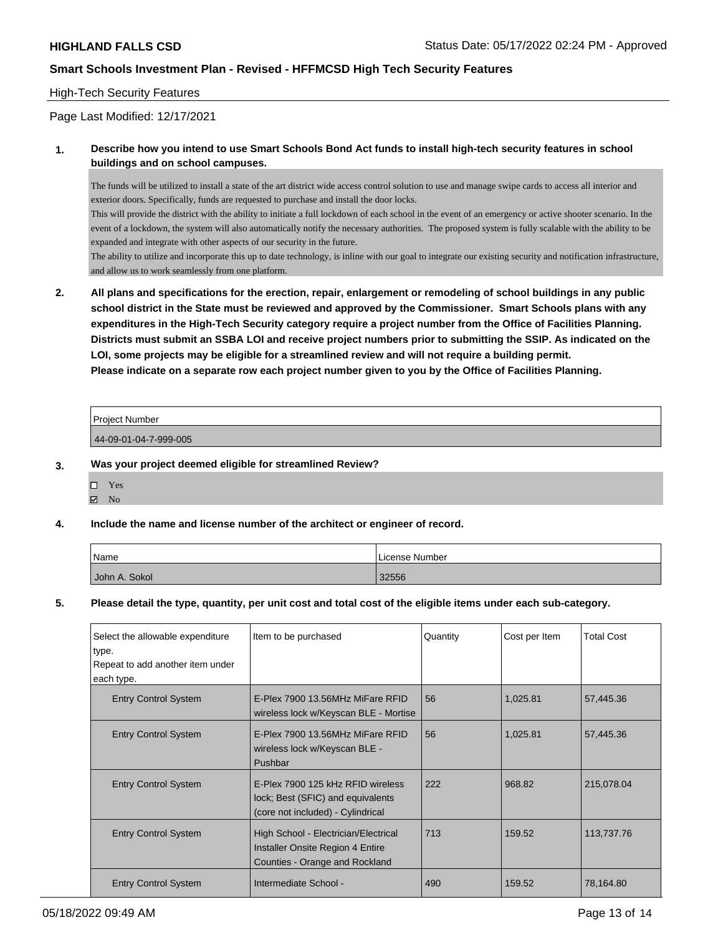### High-Tech Security Features

Page Last Modified: 12/17/2021

### **1. Describe how you intend to use Smart Schools Bond Act funds to install high-tech security features in school buildings and on school campuses.**

The funds will be utilized to install a state of the art district wide access control solution to use and manage swipe cards to access all interior and exterior doors. Specifically, funds are requested to purchase and install the door locks.

This will provide the district with the ability to initiate a full lockdown of each school in the event of an emergency or active shooter scenario. In the event of a lockdown, the system will also automatically notify the necessary authorities. The proposed system is fully scalable with the ability to be expanded and integrate with other aspects of our security in the future.

The ability to utilize and incorporate this up to date technology, is inline with our goal to integrate our existing security and notification infrastructure, and allow us to work seamlessly from one platform.

**2. All plans and specifications for the erection, repair, enlargement or remodeling of school buildings in any public school district in the State must be reviewed and approved by the Commissioner. Smart Schools plans with any expenditures in the High-Tech Security category require a project number from the Office of Facilities Planning. Districts must submit an SSBA LOI and receive project numbers prior to submitting the SSIP. As indicated on the LOI, some projects may be eligible for a streamlined review and will not require a building permit. Please indicate on a separate row each project number given to you by the Office of Facilities Planning.**

| <b>Project Number</b> |  |
|-----------------------|--|
| 44-09-01-04-7-999-005 |  |
|                       |  |

## **3. Was your project deemed eligible for streamlined Review?**

Yes

# $\blacksquare$  No

### **4. Include the name and license number of the architect or engineer of record.**

| Name          | l License Number |
|---------------|------------------|
| John A. Sokol | 32556            |

### **5. Please detail the type, quantity, per unit cost and total cost of the eligible items under each sub-category.**

| Select the allowable expenditure | Item to be purchased                                                                                        | Quantity | Cost per Item | <b>Total Cost</b> |
|----------------------------------|-------------------------------------------------------------------------------------------------------------|----------|---------------|-------------------|
| type.                            |                                                                                                             |          |               |                   |
| Repeat to add another item under |                                                                                                             |          |               |                   |
| each type.                       |                                                                                                             |          |               |                   |
| <b>Entry Control System</b>      | E-Plex 7900 13.56MHz MiFare RFID<br>wireless lock w/Keyscan BLE - Mortise                                   | 56       | 1,025.81      | 57,445.36         |
| <b>Entry Control System</b>      | E-Plex 7900 13.56MHz MiFare RFID<br>wireless lock w/Keyscan BLE -<br>Pushbar                                | 56       | 1,025.81      | 57,445.36         |
| <b>Entry Control System</b>      | E-Plex 7900 125 kHz RFID wireless<br>lock; Best (SFIC) and equivalents<br>(core not included) - Cylindrical | 222      | 968.82        | 215,078.04        |
| <b>Entry Control System</b>      | High School - Electrician/Electrical<br>Installer Onsite Region 4 Entire<br>Counties - Orange and Rockland  | 713      | 159.52        | 113,737.76        |
| <b>Entry Control System</b>      | Intermediate School -                                                                                       | 490      | 159.52        | 78,164.80         |